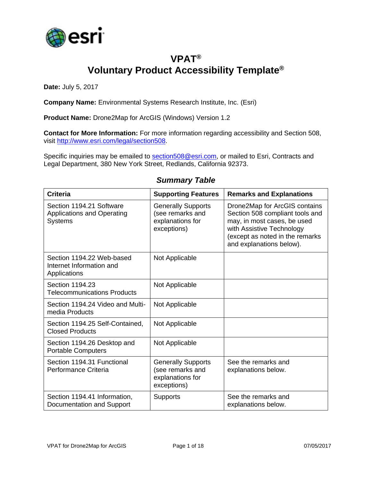

## **VPAT® Voluntary Product Accessibility Template®**

**Date:** July 5, 2017

**Company Name:** Environmental Systems Research Institute, Inc. (Esri)

**Product Name:** Drone2Map for ArcGIS (Windows) Version 1.2

**Contact for More Information:** For more information regarding accessibility and Section 508, visit [http://www.esri.com/legal/section508.](http://www.esri.com/legal/section508)

Specific inquiries may be emailed to [section508@esri.com,](mailto:section508@esri.com) or mailed to Esri, Contracts and Legal Department, 380 New York Street, Redlands, California 92373.

| <b>Criteria</b>                                                                 | <b>Supporting Features</b>                                                       | <b>Remarks and Explanations</b>                                                                                                                                                             |
|---------------------------------------------------------------------------------|----------------------------------------------------------------------------------|---------------------------------------------------------------------------------------------------------------------------------------------------------------------------------------------|
| Section 1194.21 Software<br><b>Applications and Operating</b><br><b>Systems</b> | <b>Generally Supports</b><br>(see remarks and<br>explanations for<br>exceptions) | Drone2Map for ArcGIS contains<br>Section 508 compliant tools and<br>may, in most cases, be used<br>with Assistive Technology<br>(except as noted in the remarks<br>and explanations below). |
| Section 1194.22 Web-based<br>Internet Information and<br>Applications           | Not Applicable                                                                   |                                                                                                                                                                                             |
| Section 1194.23<br><b>Telecommunications Products</b>                           | Not Applicable                                                                   |                                                                                                                                                                                             |
| Section 1194.24 Video and Multi-<br>media Products                              | Not Applicable                                                                   |                                                                                                                                                                                             |
| Section 1194.25 Self-Contained,<br><b>Closed Products</b>                       | Not Applicable                                                                   |                                                                                                                                                                                             |
| Section 1194.26 Desktop and<br><b>Portable Computers</b>                        | Not Applicable                                                                   |                                                                                                                                                                                             |
| Section 1194.31 Functional<br>Performance Criteria                              | <b>Generally Supports</b><br>(see remarks and<br>explanations for<br>exceptions) | See the remarks and<br>explanations below.                                                                                                                                                  |
| Section 1194.41 Information,<br>Documentation and Support                       | Supports                                                                         | See the remarks and<br>explanations below.                                                                                                                                                  |

#### *Summary Table*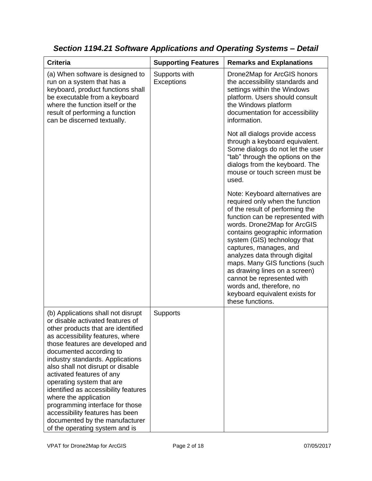| <b>Criteria</b>                                                                                                                                                                                                                                                                                                                                                                                                                                                                                                                                               | <b>Supporting Features</b>  | <b>Remarks and Explanations</b>                                                                                                                                                                                                                                                                                                                                                                                                                                                           |
|---------------------------------------------------------------------------------------------------------------------------------------------------------------------------------------------------------------------------------------------------------------------------------------------------------------------------------------------------------------------------------------------------------------------------------------------------------------------------------------------------------------------------------------------------------------|-----------------------------|-------------------------------------------------------------------------------------------------------------------------------------------------------------------------------------------------------------------------------------------------------------------------------------------------------------------------------------------------------------------------------------------------------------------------------------------------------------------------------------------|
|                                                                                                                                                                                                                                                                                                                                                                                                                                                                                                                                                               |                             |                                                                                                                                                                                                                                                                                                                                                                                                                                                                                           |
| (a) When software is designed to<br>run on a system that has a<br>keyboard, product functions shall<br>be executable from a keyboard<br>where the function itself or the<br>result of performing a function<br>can be discerned textually.                                                                                                                                                                                                                                                                                                                    | Supports with<br>Exceptions | Drone2Map for ArcGIS honors<br>the accessibility standards and<br>settings within the Windows<br>platform. Users should consult<br>the Windows platform<br>documentation for accessibility<br>information.                                                                                                                                                                                                                                                                                |
|                                                                                                                                                                                                                                                                                                                                                                                                                                                                                                                                                               |                             | Not all dialogs provide access<br>through a keyboard equivalent.<br>Some dialogs do not let the user<br>"tab" through the options on the<br>dialogs from the keyboard. The<br>mouse or touch screen must be<br>used.                                                                                                                                                                                                                                                                      |
|                                                                                                                                                                                                                                                                                                                                                                                                                                                                                                                                                               |                             | Note: Keyboard alternatives are<br>required only when the function<br>of the result of performing the<br>function can be represented with<br>words. Drone2Map for ArcGIS<br>contains geographic information<br>system (GIS) technology that<br>captures, manages, and<br>analyzes data through digital<br>maps. Many GIS functions (such<br>as drawing lines on a screen)<br>cannot be represented with<br>words and, therefore, no<br>keyboard equivalent exists for<br>these functions. |
| (b) Applications shall not disrupt<br>or disable activated features of<br>other products that are identified<br>as accessibility features, where<br>those features are developed and<br>documented according to<br>industry standards. Applications<br>also shall not disrupt or disable<br>activated features of any<br>operating system that are<br>identified as accessibility features<br>where the application<br>programming interface for those<br>accessibility features has been<br>documented by the manufacturer<br>of the operating system and is | Supports                    |                                                                                                                                                                                                                                                                                                                                                                                                                                                                                           |

*Section 1194.21 Software Applications and Operating Systems – Detail*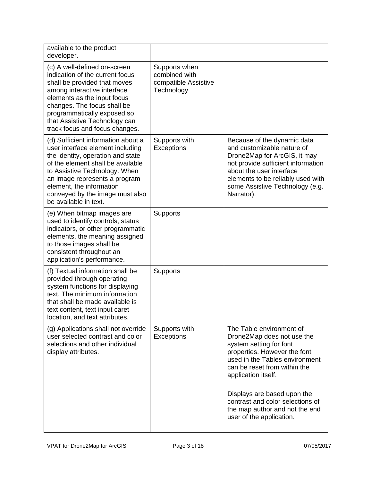| available to the product<br>developer.                                                                                                                                                                                                                                                                     |                                                                      |                                                                                                                                                                                                                                                   |
|------------------------------------------------------------------------------------------------------------------------------------------------------------------------------------------------------------------------------------------------------------------------------------------------------------|----------------------------------------------------------------------|---------------------------------------------------------------------------------------------------------------------------------------------------------------------------------------------------------------------------------------------------|
| (c) A well-defined on-screen<br>indication of the current focus<br>shall be provided that moves<br>among interactive interface<br>elements as the input focus<br>changes. The focus shall be<br>programmatically exposed so<br>that Assistive Technology can<br>track focus and focus changes.             | Supports when<br>combined with<br>compatible Assistive<br>Technology |                                                                                                                                                                                                                                                   |
| (d) Sufficient information about a<br>user interface element including<br>the identity, operation and state<br>of the element shall be available<br>to Assistive Technology. When<br>an image represents a program<br>element, the information<br>conveyed by the image must also<br>be available in text. | Supports with<br><b>Exceptions</b>                                   | Because of the dynamic data<br>and customizable nature of<br>Drone2Map for ArcGIS, it may<br>not provide sufficient information<br>about the user interface<br>elements to be reliably used with<br>some Assistive Technology (e.g.<br>Narrator). |
| (e) When bitmap images are<br>used to identify controls, status<br>indicators, or other programmatic<br>elements, the meaning assigned<br>to those images shall be<br>consistent throughout an<br>application's performance.                                                                               | <b>Supports</b>                                                      |                                                                                                                                                                                                                                                   |
| (f) Textual information shall be<br>provided through operating<br>system functions for displaying<br>text. The minimum information<br>that shall be made available is<br>text content, text input caret<br>location, and text attributes.                                                                  | Supports                                                             |                                                                                                                                                                                                                                                   |
| (g) Applications shall not override<br>user selected contrast and color<br>selections and other individual<br>display attributes.                                                                                                                                                                          | Supports with<br><b>Exceptions</b>                                   | The Table environment of<br>Drone2Map does not use the<br>system setting for font<br>properties. However the font<br>used in the Tables environment<br>can be reset from within the<br>application itself.                                        |
|                                                                                                                                                                                                                                                                                                            |                                                                      | Displays are based upon the<br>contrast and color selections of<br>the map author and not the end<br>user of the application.                                                                                                                     |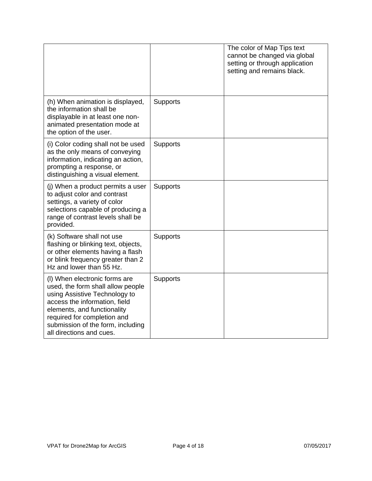|                                                                                                                                                                                                                                                                     |          | The color of Map Tips text<br>cannot be changed via global<br>setting or through application<br>setting and remains black. |
|---------------------------------------------------------------------------------------------------------------------------------------------------------------------------------------------------------------------------------------------------------------------|----------|----------------------------------------------------------------------------------------------------------------------------|
| (h) When animation is displayed,<br>the information shall be<br>displayable in at least one non-<br>animated presentation mode at<br>the option of the user.                                                                                                        | Supports |                                                                                                                            |
| (i) Color coding shall not be used<br>as the only means of conveying<br>information, indicating an action,<br>prompting a response, or<br>distinguishing a visual element.                                                                                          | Supports |                                                                                                                            |
| (j) When a product permits a user<br>to adjust color and contrast<br>settings, a variety of color<br>selections capable of producing a<br>range of contrast levels shall be<br>provided.                                                                            | Supports |                                                                                                                            |
| (k) Software shall not use<br>flashing or blinking text, objects,<br>or other elements having a flash<br>or blink frequency greater than 2<br>Hz and lower than 55 Hz.                                                                                              | Supports |                                                                                                                            |
| (I) When electronic forms are<br>used, the form shall allow people<br>using Assistive Technology to<br>access the information, field<br>elements, and functionality<br>required for completion and<br>submission of the form, including<br>all directions and cues. | Supports |                                                                                                                            |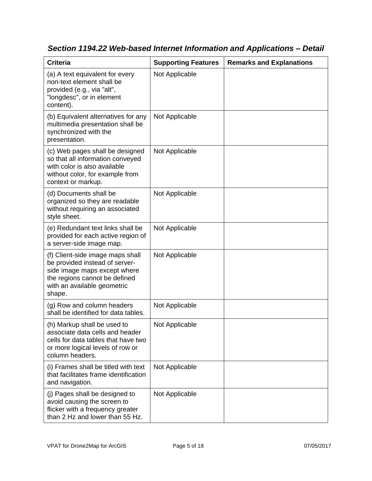| <b>Criteria</b>                                                                                                                                                              | <b>Supporting Features</b> | <b>Remarks and Explanations</b> |
|------------------------------------------------------------------------------------------------------------------------------------------------------------------------------|----------------------------|---------------------------------|
| (a) A text equivalent for every<br>non-text element shall be<br>provided (e.g., via "alt",<br>"longdesc", or in element<br>content).                                         | Not Applicable             |                                 |
| (b) Equivalent alternatives for any<br>multimedia presentation shall be<br>synchronized with the<br>presentation.                                                            | Not Applicable             |                                 |
| (c) Web pages shall be designed<br>so that all information conveyed<br>with color is also available<br>without color, for example from<br>context or markup.                 | Not Applicable             |                                 |
| (d) Documents shall be<br>organized so they are readable<br>without requiring an associated<br>style sheet.                                                                  | Not Applicable             |                                 |
| (e) Redundant text links shall be<br>provided for each active region of<br>a server-side image map.                                                                          | Not Applicable             |                                 |
| (f) Client-side image maps shall<br>be provided instead of server-<br>side image maps except where<br>the regions cannot be defined<br>with an available geometric<br>shape. | Not Applicable             |                                 |
| (g) Row and column headers<br>shall be identified for data tables.                                                                                                           | Not Applicable             |                                 |
| (h) Markup shall be used to<br>associate data cells and header<br>cells for data tables that have two<br>or more logical levels of row or<br>column headers.                 | Not Applicable             |                                 |
| (i) Frames shall be titled with text<br>that facilitates frame identification<br>and navigation.                                                                             | Not Applicable             |                                 |
| (j) Pages shall be designed to<br>avoid causing the screen to<br>flicker with a frequency greater<br>than 2 Hz and lower than 55 Hz.                                         | Not Applicable             |                                 |

*Section 1194.22 Web-based Internet Information and Applications – Detail*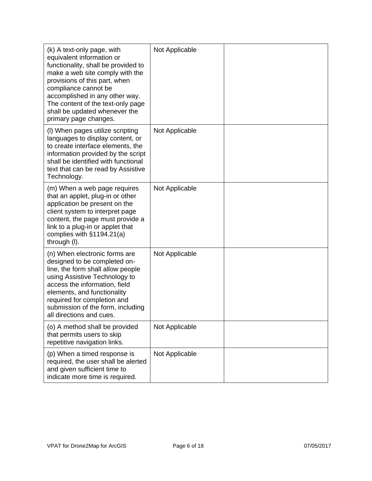| (k) A text-only page, with<br>equivalent information or<br>functionality, shall be provided to<br>make a web site comply with the<br>provisions of this part, when<br>compliance cannot be<br>accomplished in any other way.<br>The content of the text-only page<br>shall be updated whenever the<br>primary page changes. | Not Applicable |  |
|-----------------------------------------------------------------------------------------------------------------------------------------------------------------------------------------------------------------------------------------------------------------------------------------------------------------------------|----------------|--|
| (I) When pages utilize scripting<br>languages to display content, or<br>to create interface elements, the<br>information provided by the script<br>shall be identified with functional<br>text that can be read by Assistive<br>Technology.                                                                                 | Not Applicable |  |
| (m) When a web page requires<br>that an applet, plug-in or other<br>application be present on the<br>client system to interpret page<br>content, the page must provide a<br>link to a plug-in or applet that<br>complies with $§1194.21(a)$<br>through (I).                                                                 | Not Applicable |  |
| (n) When electronic forms are<br>designed to be completed on-<br>line, the form shall allow people<br>using Assistive Technology to<br>access the information, field<br>elements, and functionality<br>required for completion and<br>submission of the form, including<br>all directions and cues.                         | Not Applicable |  |
| (o) A method shall be provided<br>that permits users to skip<br>repetitive navigation links.                                                                                                                                                                                                                                | Not Applicable |  |
| (p) When a timed response is<br>required, the user shall be alerted<br>and given sufficient time to<br>indicate more time is required.                                                                                                                                                                                      | Not Applicable |  |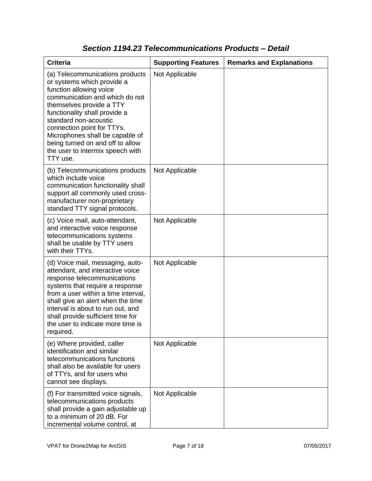| <b>Criteria</b>                                                                                                                                                                                                                                                                                                                                                       | <b>Supporting Features</b> | <b>Remarks and Explanations</b> |
|-----------------------------------------------------------------------------------------------------------------------------------------------------------------------------------------------------------------------------------------------------------------------------------------------------------------------------------------------------------------------|----------------------------|---------------------------------|
| (a) Telecommunications products<br>or systems which provide a<br>function allowing voice<br>communication and which do not<br>themselves provide a TTY<br>functionality shall provide a<br>standard non-acoustic<br>connection point for TTYs.<br>Microphones shall be capable of<br>being turned on and off to allow<br>the user to intermix speech with<br>TTY use. | Not Applicable             |                                 |
| (b) Telecommunications products<br>which include voice<br>communication functionality shall<br>support all commonly used cross-<br>manufacturer non-proprietary<br>standard TTY signal protocols.                                                                                                                                                                     | Not Applicable             |                                 |
| (c) Voice mail, auto-attendant,<br>and interactive voice response<br>telecommunications systems<br>shall be usable by TTY users<br>with their TTYs.                                                                                                                                                                                                                   | Not Applicable             |                                 |
| (d) Voice mail, messaging, auto-<br>attendant, and interactive voice<br>response telecommunications<br>systems that require a response<br>from a user within a time interval,<br>shall give an alert when the time<br>interval is about to run out, and<br>shall provide sufficient time for<br>the user to indicate more time is<br>required.                        | Not Applicable             |                                 |
| (e) Where provided, caller<br>identification and similar<br>telecommunications functions<br>shall also be available for users<br>of TTYs, and for users who<br>cannot see displays.                                                                                                                                                                                   | Not Applicable             |                                 |
| (f) For transmitted voice signals,<br>telecommunications products<br>shall provide a gain adjustable up<br>to a minimum of 20 dB. For<br>incremental volume control, at                                                                                                                                                                                               | Not Applicable             |                                 |

### *Section 1194.23 Telecommunications Products – Detail*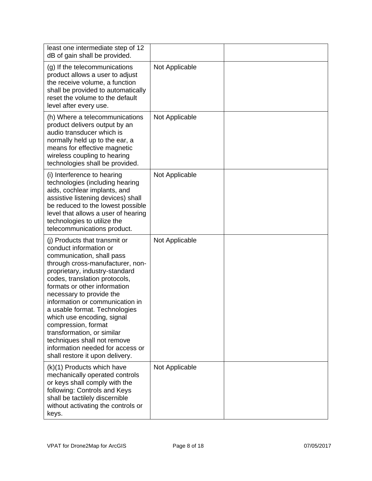| least one intermediate step of 12<br>dB of gain shall be provided.                                                                                                                                                                                                                                                                                                                                                                                                                                                   |                |  |
|----------------------------------------------------------------------------------------------------------------------------------------------------------------------------------------------------------------------------------------------------------------------------------------------------------------------------------------------------------------------------------------------------------------------------------------------------------------------------------------------------------------------|----------------|--|
| (g) If the telecommunications<br>product allows a user to adjust<br>the receive volume, a function<br>shall be provided to automatically<br>reset the volume to the default<br>level after every use.                                                                                                                                                                                                                                                                                                                | Not Applicable |  |
| (h) Where a telecommunications<br>product delivers output by an<br>audio transducer which is<br>normally held up to the ear, a<br>means for effective magnetic<br>wireless coupling to hearing<br>technologies shall be provided.                                                                                                                                                                                                                                                                                    | Not Applicable |  |
| (i) Interference to hearing<br>technologies (including hearing<br>aids, cochlear implants, and<br>assistive listening devices) shall<br>be reduced to the lowest possible<br>level that allows a user of hearing<br>technologies to utilize the<br>telecommunications product.                                                                                                                                                                                                                                       | Not Applicable |  |
| (i) Products that transmit or<br>conduct information or<br>communication, shall pass<br>through cross-manufacturer, non-<br>proprietary, industry-standard<br>codes, translation protocols,<br>formats or other information<br>necessary to provide the<br>information or communication in<br>a usable format. Technologies<br>which use encoding, signal<br>compression, format<br>transformation, or similar<br>techniques shall not remove<br>information needed for access or<br>shall restore it upon delivery. | Not Applicable |  |
| (k)(1) Products which have<br>mechanically operated controls<br>or keys shall comply with the<br>following: Controls and Keys<br>shall be tactilely discernible<br>without activating the controls or<br>keys.                                                                                                                                                                                                                                                                                                       | Not Applicable |  |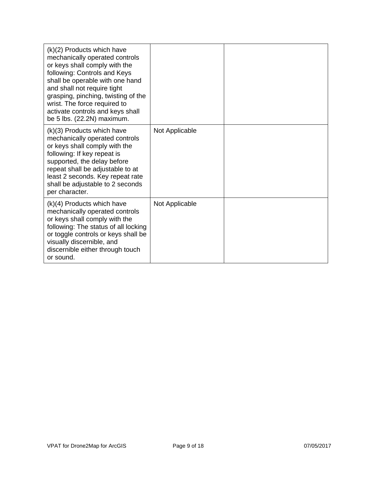| (k)(2) Products which have<br>mechanically operated controls<br>or keys shall comply with the<br>following: Controls and Keys<br>shall be operable with one hand<br>and shall not require tight<br>grasping, pinching, twisting of the<br>wrist. The force required to<br>activate controls and keys shall<br>be 5 lbs. (22.2N) maximum. |                |  |
|------------------------------------------------------------------------------------------------------------------------------------------------------------------------------------------------------------------------------------------------------------------------------------------------------------------------------------------|----------------|--|
| (k)(3) Products which have<br>mechanically operated controls<br>or keys shall comply with the<br>following: If key repeat is<br>supported, the delay before<br>repeat shall be adjustable to at<br>least 2 seconds. Key repeat rate<br>shall be adjustable to 2 seconds<br>per character.                                                | Not Applicable |  |
| $(k)(4)$ Products which have<br>mechanically operated controls<br>or keys shall comply with the<br>following: The status of all locking<br>or toggle controls or keys shall be<br>visually discernible, and<br>discernible either through touch<br>or sound.                                                                             | Not Applicable |  |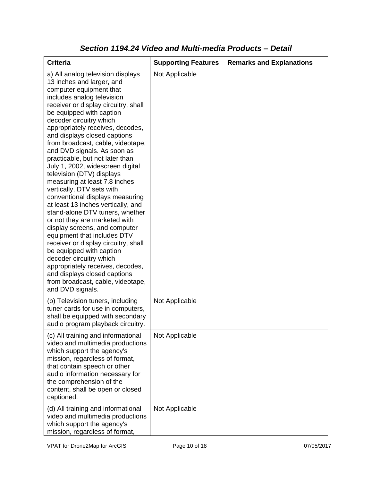| <b>Criteria</b>                                                                                                                                                                                                                                                                                                                                                                                                                                                                                                                                                                                                                                                                                                                                                                                                                                                                                                                                                           | <b>Supporting Features</b> | <b>Remarks and Explanations</b> |
|---------------------------------------------------------------------------------------------------------------------------------------------------------------------------------------------------------------------------------------------------------------------------------------------------------------------------------------------------------------------------------------------------------------------------------------------------------------------------------------------------------------------------------------------------------------------------------------------------------------------------------------------------------------------------------------------------------------------------------------------------------------------------------------------------------------------------------------------------------------------------------------------------------------------------------------------------------------------------|----------------------------|---------------------------------|
| a) All analog television displays<br>13 inches and larger, and<br>computer equipment that<br>includes analog television<br>receiver or display circuitry, shall<br>be equipped with caption<br>decoder circuitry which<br>appropriately receives, decodes,<br>and displays closed captions<br>from broadcast, cable, videotape,<br>and DVD signals. As soon as<br>practicable, but not later than<br>July 1, 2002, widescreen digital<br>television (DTV) displays<br>measuring at least 7.8 inches<br>vertically, DTV sets with<br>conventional displays measuring<br>at least 13 inches vertically, and<br>stand-alone DTV tuners, whether<br>or not they are marketed with<br>display screens, and computer<br>equipment that includes DTV<br>receiver or display circuitry, shall<br>be equipped with caption<br>decoder circuitry which<br>appropriately receives, decodes,<br>and displays closed captions<br>from broadcast, cable, videotape,<br>and DVD signals. | Not Applicable             |                                 |
| (b) Television tuners, including<br>tuner cards for use in computers,<br>shall be equipped with secondary<br>audio program playback circuitry.                                                                                                                                                                                                                                                                                                                                                                                                                                                                                                                                                                                                                                                                                                                                                                                                                            | Not Applicable             |                                 |
| (c) All training and informational<br>video and multimedia productions<br>which support the agency's<br>mission, regardless of format,<br>that contain speech or other<br>audio information necessary for<br>the comprehension of the<br>content, shall be open or closed<br>captioned.                                                                                                                                                                                                                                                                                                                                                                                                                                                                                                                                                                                                                                                                                   | Not Applicable             |                                 |
| (d) All training and informational<br>video and multimedia productions<br>which support the agency's<br>mission, regardless of format,                                                                                                                                                                                                                                                                                                                                                                                                                                                                                                                                                                                                                                                                                                                                                                                                                                    | Not Applicable             |                                 |

#### *Section 1194.24 Video and Multi-media Products – Detail*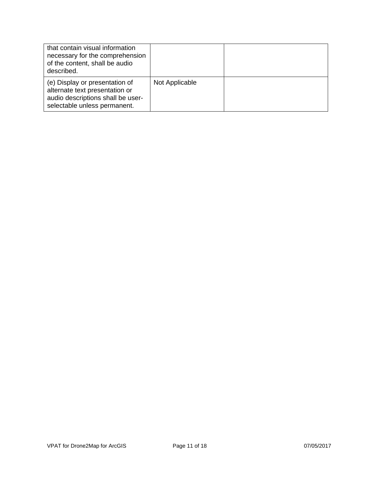| that contain visual information<br>necessary for the comprehension<br>of the content, shall be audio<br>described.                    |                |  |
|---------------------------------------------------------------------------------------------------------------------------------------|----------------|--|
| (e) Display or presentation of<br>alternate text presentation or<br>audio descriptions shall be user-<br>selectable unless permanent. | Not Applicable |  |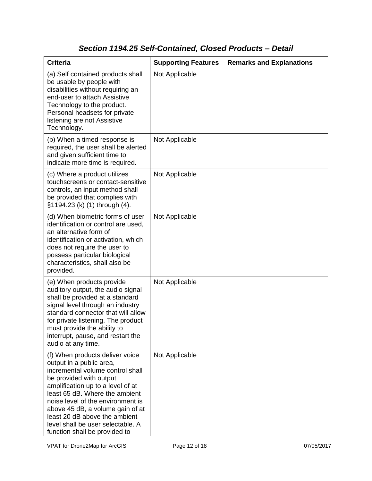# *Section 1194.25 Self-Contained, Closed Products – Detail*

| <b>Criteria</b>                                                                                                                                                                                                                                                                                                                                                                   | <b>Supporting Features</b> | <b>Remarks and Explanations</b> |
|-----------------------------------------------------------------------------------------------------------------------------------------------------------------------------------------------------------------------------------------------------------------------------------------------------------------------------------------------------------------------------------|----------------------------|---------------------------------|
| (a) Self contained products shall<br>be usable by people with<br>disabilities without requiring an<br>end-user to attach Assistive<br>Technology to the product.<br>Personal headsets for private<br>listening are not Assistive<br>Technology.                                                                                                                                   | Not Applicable             |                                 |
| (b) When a timed response is<br>required, the user shall be alerted<br>and given sufficient time to<br>indicate more time is required.                                                                                                                                                                                                                                            | Not Applicable             |                                 |
| (c) Where a product utilizes<br>touchscreens or contact-sensitive<br>controls, an input method shall<br>be provided that complies with<br>§1194.23 (k) (1) through (4).                                                                                                                                                                                                           | Not Applicable             |                                 |
| (d) When biometric forms of user<br>identification or control are used,<br>an alternative form of<br>identification or activation, which<br>does not require the user to<br>possess particular biological<br>characteristics, shall also be<br>provided.                                                                                                                          | Not Applicable             |                                 |
| (e) When products provide<br>auditory output, the audio signal<br>shall be provided at a standard<br>signal level through an industry<br>standard connector that will allow<br>for private listening. The product<br>must provide the ability to<br>interrupt, pause, and restart the<br>audio at any time.                                                                       | Not Applicable             |                                 |
| (f) When products deliver voice<br>output in a public area,<br>incremental volume control shall<br>be provided with output<br>amplification up to a level of at<br>least 65 dB. Where the ambient<br>noise level of the environment is<br>above 45 dB, a volume gain of at<br>least 20 dB above the ambient<br>level shall be user selectable. A<br>function shall be provided to | Not Applicable             |                                 |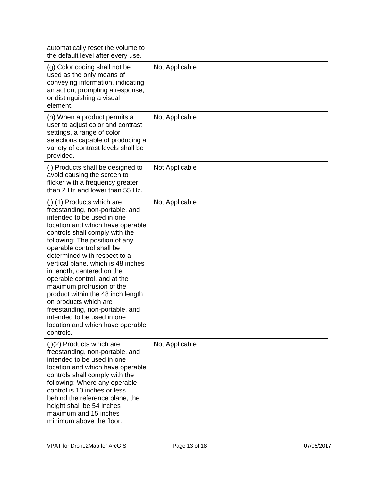| automatically reset the volume to<br>the default level after every use.                                                                                                                                                                                                                                                                                                                                                                                                                                                                                                           |                |  |
|-----------------------------------------------------------------------------------------------------------------------------------------------------------------------------------------------------------------------------------------------------------------------------------------------------------------------------------------------------------------------------------------------------------------------------------------------------------------------------------------------------------------------------------------------------------------------------------|----------------|--|
| (g) Color coding shall not be<br>used as the only means of<br>conveying information, indicating<br>an action, prompting a response,<br>or distinguishing a visual<br>element.                                                                                                                                                                                                                                                                                                                                                                                                     | Not Applicable |  |
| (h) When a product permits a<br>user to adjust color and contrast<br>settings, a range of color<br>selections capable of producing a<br>variety of contrast levels shall be<br>provided.                                                                                                                                                                                                                                                                                                                                                                                          | Not Applicable |  |
| (i) Products shall be designed to<br>avoid causing the screen to<br>flicker with a frequency greater<br>than 2 Hz and lower than 55 Hz.                                                                                                                                                                                                                                                                                                                                                                                                                                           | Not Applicable |  |
| (j) (1) Products which are<br>freestanding, non-portable, and<br>intended to be used in one<br>location and which have operable<br>controls shall comply with the<br>following: The position of any<br>operable control shall be<br>determined with respect to a<br>vertical plane, which is 48 inches<br>in length, centered on the<br>operable control, and at the<br>maximum protrusion of the<br>product within the 48 inch length<br>on products which are<br>freestanding, non-portable, and<br>intended to be used in one<br>location and which have operable<br>controls. | Not Applicable |  |
| $(j)(2)$ Products which are<br>freestanding, non-portable, and<br>intended to be used in one<br>location and which have operable<br>controls shall comply with the<br>following: Where any operable<br>control is 10 inches or less<br>behind the reference plane, the<br>height shall be 54 inches<br>maximum and 15 inches<br>minimum above the floor.                                                                                                                                                                                                                          | Not Applicable |  |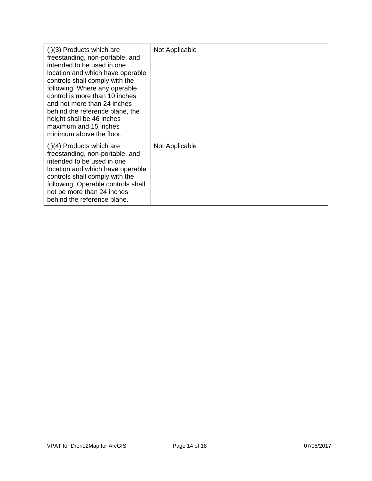| $(j)(3)$ Products which are<br>freestanding, non-portable, and<br>intended to be used in one<br>location and which have operable<br>controls shall comply with the<br>following: Where any operable<br>control is more than 10 inches<br>and not more than 24 inches<br>behind the reference plane, the<br>height shall be 46 inches<br>maximum and 15 inches<br>minimum above the floor. | Not Applicable |  |
|-------------------------------------------------------------------------------------------------------------------------------------------------------------------------------------------------------------------------------------------------------------------------------------------------------------------------------------------------------------------------------------------|----------------|--|
| $(j)(4)$ Products which are<br>freestanding, non-portable, and<br>intended to be used in one<br>location and which have operable<br>controls shall comply with the<br>following: Operable controls shall<br>not be more than 24 inches<br>behind the reference plane.                                                                                                                     | Not Applicable |  |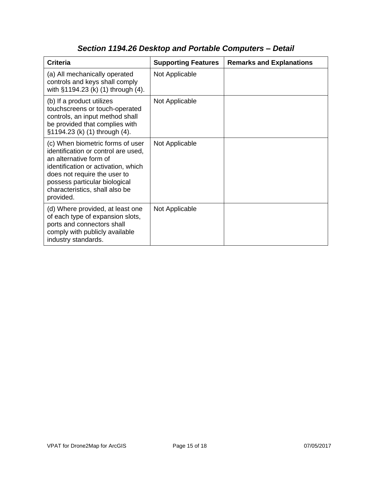| <b>Criteria</b>                                                                                                                                                                                                                                          | <b>Supporting Features</b> | <b>Remarks and Explanations</b> |
|----------------------------------------------------------------------------------------------------------------------------------------------------------------------------------------------------------------------------------------------------------|----------------------------|---------------------------------|
| (a) All mechanically operated<br>controls and keys shall comply<br>with §1194.23 (k) (1) through (4).                                                                                                                                                    | Not Applicable             |                                 |
| (b) If a product utilizes<br>touchscreens or touch-operated<br>controls, an input method shall<br>be provided that complies with<br>§1194.23 (k) (1) through (4).                                                                                        | Not Applicable             |                                 |
| (c) When biometric forms of user<br>identification or control are used,<br>an alternative form of<br>identification or activation, which<br>does not require the user to<br>possess particular biological<br>characteristics, shall also be<br>provided. | Not Applicable             |                                 |
| (d) Where provided, at least one<br>of each type of expansion slots,<br>ports and connectors shall<br>comply with publicly available<br>industry standards.                                                                                              | Not Applicable             |                                 |

# *Section 1194.26 Desktop and Portable Computers – Detail*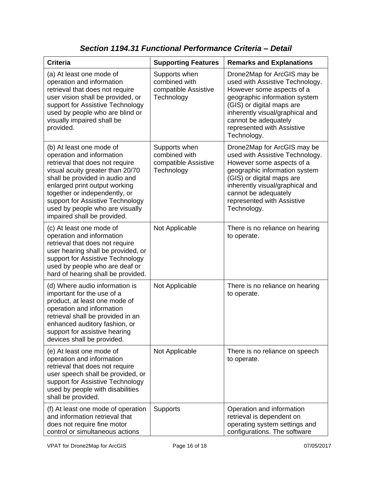| <b>Criteria</b>                                                                                                                                                                                                                                                                                                                        | <b>Supporting Features</b>                                           | <b>Remarks and Explanations</b>                                                                                                                                                                                                                                   |
|----------------------------------------------------------------------------------------------------------------------------------------------------------------------------------------------------------------------------------------------------------------------------------------------------------------------------------------|----------------------------------------------------------------------|-------------------------------------------------------------------------------------------------------------------------------------------------------------------------------------------------------------------------------------------------------------------|
| (a) At least one mode of<br>operation and information<br>retrieval that does not require<br>user vision shall be provided, or<br>support for Assistive Technology<br>used by people who are blind or<br>visually impaired shall be<br>provided.                                                                                        | Supports when<br>combined with<br>compatible Assistive<br>Technology | Drone2Map for ArcGIS may be<br>used with Assistive Technology.<br>However some aspects of a<br>geographic information system<br>(GIS) or digital maps are<br>inherently visual/graphical and<br>cannot be adequately<br>represented with Assistive<br>Technology. |
| (b) At least one mode of<br>operation and information<br>retrieval that does not require<br>visual acuity greater than 20/70<br>shall be provided in audio and<br>enlarged print output working<br>together or independently, or<br>support for Assistive Technology<br>used by people who are visually<br>impaired shall be provided. | Supports when<br>combined with<br>compatible Assistive<br>Technology | Drone2Map for ArcGIS may be<br>used with Assistive Technology.<br>However some aspects of a<br>geographic information system<br>(GIS) or digital maps are<br>inherently visual/graphical and<br>cannot be adequately<br>represented with Assistive<br>Technology. |
| (c) At least one mode of<br>operation and information<br>retrieval that does not require<br>user hearing shall be provided, or<br>support for Assistive Technology<br>used by people who are deaf or<br>hard of hearing shall be provided.                                                                                             | Not Applicable                                                       | There is no reliance on hearing<br>to operate.                                                                                                                                                                                                                    |
| (d) Where audio information is<br>important for the use of a<br>product, at least one mode of<br>operation and information<br>retrieval shall be provided in an<br>enhanced auditory fashion, or<br>support for assistive hearing<br>devices shall be provided.                                                                        | Not Applicable                                                       | There is no reliance on hearing<br>to operate.                                                                                                                                                                                                                    |
| (e) At least one mode of<br>operation and information<br>retrieval that does not require<br>user speech shall be provided, or<br>support for Assistive Technology<br>used by people with disabilities<br>shall be provided.                                                                                                            | Not Applicable                                                       | There is no reliance on speech<br>to operate.                                                                                                                                                                                                                     |
| (f) At least one mode of operation<br>and information retrieval that<br>does not require fine motor<br>control or simultaneous actions                                                                                                                                                                                                 | <b>Supports</b>                                                      | Operation and information<br>retrieval is dependent on<br>operating system settings and<br>configurations. The software                                                                                                                                           |

*Section 1194.31 Functional Performance Criteria – Detail*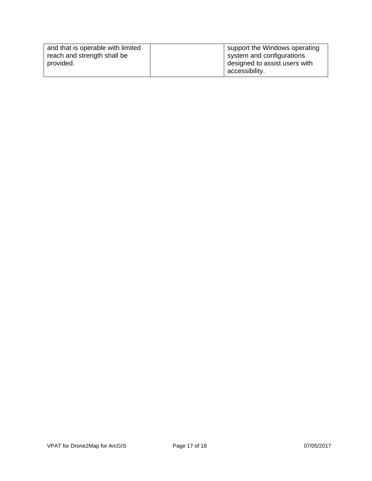| and that is operable with limited | support the Windows operating |
|-----------------------------------|-------------------------------|
| reach and strength shall be       | system and configurations     |
| provided.                         | designed to assist users with |
|                                   | accessibility.                |